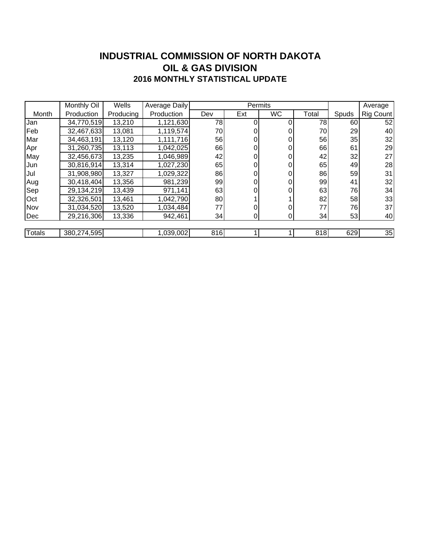#### **INDUSTRIAL COMMISSION OF NORTH DAKOTA 2016 MONTHLY STATISTICAL UPDATE OIL & GAS DIVISION**

|        | Monthly Oil | Wells     | Average Daily |     | Permits |           |       | Average |           |
|--------|-------------|-----------|---------------|-----|---------|-----------|-------|---------|-----------|
| Month  | Production  | Producing | Production    | Dev | Ext     | <b>WC</b> | Total | Spuds   | Rig Count |
| Jan    | 34,770,519  | 13,210    | 1,121,630     | 78  | 0       |           | 78    | 60      | 52        |
| Feb    | 32,467,633  | 13,081    | 1,119,574     | 70  | 0       |           | 70    | 29      | 40        |
| Mar    | 34,463,191  | 13,120    | 1,111,716     | 56  | 0       |           | 56    | 35      | 32        |
| Apr    | 31,260,735  | 13,113    | 1,042,025     | 66  | 0       | 0         | 66    | 61      | 29        |
| May    | 32,456,673  | 13,235    | 1,046,989     | 42  | 0       |           | 42    | 32      | 27        |
| IJun   | 30,816,914  | 13,314    | 1,027,230     | 65  | 0       |           | 65    | 49      | 28        |
| Jul    | 31,908,980  | 13,327    | 1,029,322     | 86  | 0       |           | 86    | 59      | 31        |
| Aug    | 30,418,404  | 13,356    | 981,239       | 99  | 0       | 0         | 99    | 41      | 32        |
| Sep    | 29,134,219  | 13,439    | 971,141       | 63  |         |           | 63    | 76      | 34        |
| Oct    | 32,326,501  | 13,461    | 1,042,790     | 80  |         |           | 82    | 58      | 33        |
| Nov    | 31,034,520  | 13,520    | 1,034,484     | 77  |         |           | 77    | 76      | 37        |
| Dec    | 29,216,306  | 13,336    | 942,461       | 34  | 0       | 0         | 34    | 53      | 40        |
|        |             |           |               |     |         |           |       |         |           |
| Totals | 380,274,595 |           | 1,039,002     | 816 |         |           | 818   | 629     | 35        |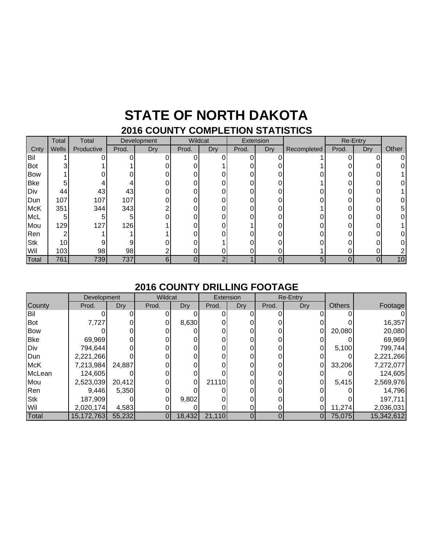# **STATE OF NORTH DAKOTA**

### **2016 COUNTY COMPLETION STATISTICS**

|            | Total | Total      | Development |     | Wildcat |     | Extension |     |             |       | Re-Entry |       |
|------------|-------|------------|-------------|-----|---------|-----|-----------|-----|-------------|-------|----------|-------|
| Cnty       | Wells | Productive | Prod.       | Dry | Prod.   | Dry | Prod.     | Dry | Recompleted | Prod. | Dry      | Other |
| Bil        |       |            |             |     | 0       |     |           |     |             |       |          |       |
| Bot        |       |            |             |     |         |     |           |     |             |       |          |       |
| <b>Bow</b> |       |            |             |     |         |     |           |     |             |       |          |       |
| <b>Bke</b> |       |            |             |     |         |     |           |     |             |       |          |       |
| Div        | 44    | 43         | 43          |     |         |     |           |     |             |       |          |       |
| Dun        | 107   | 107        | 107         |     | ∩       |     |           |     |             |       |          |       |
| <b>McK</b> | 351   | 344        | 343         |     |         |     |           |     |             |       |          |       |
| <b>McL</b> |       |            |             |     |         |     |           |     |             |       |          |       |
| Mou        | 129   | 127        | 126         |     |         |     |           |     |             |       |          |       |
| Ren        |       |            |             |     |         |     |           |     |             |       |          |       |
| <b>Stk</b> | 10    |            | 9           |     |         |     |           |     |             |       |          |       |
| Wil        | 103   | 98         | 98          |     |         |     |           |     |             |       |          |       |
| Total      | 761   | 739        | 737         |     |         |     |           |     | 5           |       |          | 10    |

#### **2016 COUNTY DRILLING FOOTAGE**

|            | Development |        | Wildcat |        | Extension |          | <b>Re-Entry</b> |     |               |            |
|------------|-------------|--------|---------|--------|-----------|----------|-----------------|-----|---------------|------------|
| County     | Prod.       | Dry    | Prod.   | Dry    | Prod.     | Dry      | Prod.           | Dry | <b>Others</b> | Footage    |
| Bil        |             |        |         |        |           |          |                 |     |               |            |
| Bot        | 7,727       |        |         | 8,630  |           |          |                 |     |               | 16,357     |
| <b>Bow</b> |             |        |         |        |           |          |                 |     | 20,080        | 20,080     |
| <b>Bke</b> | 69,969      |        |         |        |           |          |                 |     |               | 69,969     |
| Div        | 794,644     |        |         |        |           |          |                 |     | 5,100         | 799,744    |
| Dun        | 2,221,266   |        |         |        |           |          |                 |     |               | 2,221,266  |
| <b>McK</b> | 7,213,984   | 24,887 |         |        |           |          |                 |     | 33,206        | 7,272,077  |
| McLean     | 124,605     |        |         |        |           |          |                 |     |               | 124,605    |
| Mou        | 2,523,039   | 20,412 |         | 0      | 21110     |          |                 |     | 5,415         | 2,569,976  |
| Ren        | 9,446       | 5,350  |         |        |           |          |                 |     |               | 14,796     |
| <b>Stk</b> | 187,909     |        |         | 9,802  |           |          |                 |     |               | 197,711    |
| Wil        | 2,020,174   | 4,583  |         |        |           |          |                 |     | 11,274        | 2,036,031  |
| Total      | 15,172,763  | 55,232 |         | 18,432 | 21,110    | $\Omega$ | $\Omega$        | 0   | 75,075        | 15,342,612 |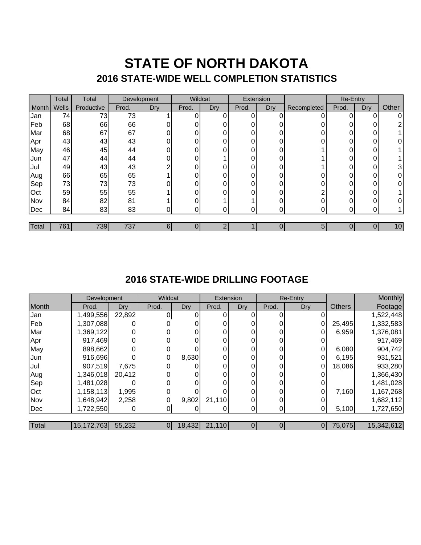### **STATE OF NORTH DAKOTA 2016 STATE-WIDE WELL COMPLETION STATISTICS**

|       | Total | Total      | Development |     | Wildcat |     | Extension |     |             | Re-Entry |     |       |
|-------|-------|------------|-------------|-----|---------|-----|-----------|-----|-------------|----------|-----|-------|
| Month | Wells | Productive | Prod.       | Dry | Prod.   | Dry | Prod.     | Dry | Recompleted | Prod.    | Dry | Other |
| Jan   | 74    | 73         | 73          |     | 0       | 0   | 0         |     |             | Ω.       | 0   | 0     |
| Feb   | 68    | 66         | 66          |     |         |     | 0         |     |             |          | 0   | ⌒     |
| Mar   | 68    | 67         | 67          |     |         |     | 0         |     |             | $\Omega$ | 0   |       |
| Apr   | 43    | 43         | 43          |     | 0       |     | 0         |     |             |          | 0   | 0     |
| May   | 46    | 45         | 44          | 0   |         |     | 0         | 0   |             |          | 0   |       |
| Jun   | 47    | 44         | 44          | 0   | ი       |     | 0         | ∩   |             | n        | 0   |       |
| Jul   | 49    | 43         | 43          | ⌒   | ი       |     | $\Omega$  |     |             |          | 0   | 3     |
| Aug   | 66    | 65         | 65          |     |         |     | 0         |     |             |          | 0   | 0     |
| Sep   | 73    | 73         | 73          |     | ი       |     | 0.        | ŋ   |             | U        | 0   | 0     |
| Oct   | 59    | 55         | 55          |     |         |     | 0         |     |             |          | 0   |       |
| Nov   | 84    | 82         | 81          |     | ი       |     |           |     |             | $\Omega$ | 0   | 0     |
| Dec   | 84    | 83         | 83          | 0   |         |     | ∩         | 0   |             |          | ი   |       |
|       |       |            |             |     |         |     |           |     |             |          |     |       |
| Total | 761   | 739        | 737         | 61  |         |     |           | 0   | 5           |          |     | 10    |

#### **2016 STATE-WIDE DRILLING FOOTAGE**

|       | Development |            | Wildcat |       | Extension     |     |          | <b>Re-Entry</b> |               | Monthly    |
|-------|-------------|------------|---------|-------|---------------|-----|----------|-----------------|---------------|------------|
| Month | Prod.       | <b>Dry</b> | Prod.   | Dry   | Prod.         | Dry | Prod.    | <b>Dry</b>      | <b>Others</b> | Footage    |
| Jan   | 1,499,556   | 22,892     | 0       |       |               |     |          |                 |               | 1,522,448  |
| Feb   | 1,307,088   |            |         |       |               |     |          |                 | 25,495        | 1,332,583  |
| Mar   | 1,369,122   |            |         |       |               |     | 0        |                 | 6,959         | 1,376,081  |
| Apr   | 917,469     |            |         |       |               |     | 0        |                 |               | 917,469    |
| May   | 898,662     |            |         |       |               |     | $\Omega$ |                 | 6,080         | 904,742    |
| Jun   | 916,696     |            |         | 8,630 |               |     | 0        |                 | 6,195         | 931,521    |
| Jul   | 907,519     | 7,675      |         |       |               |     | 0        | 0               | 18,086        | 933,280    |
| Aug   | 1,346,018   | 20,412     |         |       |               |     | 0        |                 |               | 1,366,430  |
| Sep   | 1,481,028   |            |         |       |               |     |          |                 |               | 1,481,028  |
| Oct   | 1,158,113   | 1,995      |         |       |               |     | 0        |                 | 7,160         | 1,167,268  |
| Nov   | 1,648,942   | 2,258      |         | 9,802 | 21,110        |     | 0        |                 |               | 1,682,112  |
| Dec   | 1,722,550   |            |         |       |               |     | 0        |                 | 5,100         | 1,727,650  |
|       |             |            |         |       |               |     |          |                 |               |            |
| Total | 15,172,763  | 55,232     | 01      |       | 18,432 21,110 |     | 0        | 0I              | 75,075        | 15,342,612 |